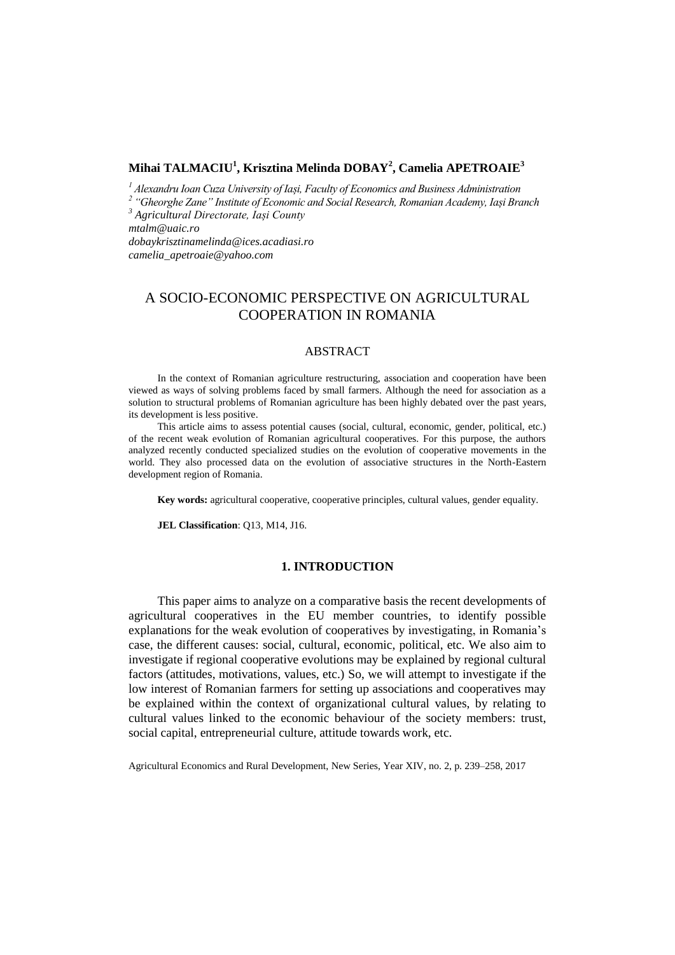# **Mihai TALMACIU<sup>1</sup> , Krisztina Melinda DOBAY<sup>2</sup> , Camelia APETROAIE<sup>3</sup>**

*<sup>1</sup> Alexandru Ioan Cuza University of Iași, Faculty of Economics and Business Administration*

*2 "Gheorghe Zane" Institute of Economic and Social Research, Romanian Academy, Iași Branch*

*<sup>3</sup> Agricultural Directorate, Iași County* 

*mtalm@uaic.ro*

*dobaykrisztinamelinda@ices.acadiasi.ro camelia\_apetroaie@yahoo.com* 

# A SOCIO-ECONOMIC PERSPECTIVE ON AGRICULTURAL COOPERATION IN ROMANIA

## ABSTRACT

In the context of Romanian agriculture restructuring, association and cooperation have been viewed as ways of solving problems faced by small farmers. Although the need for association as a solution to structural problems of Romanian agriculture has been highly debated over the past years, its development is less positive.

This article aims to assess potential causes (social, cultural, economic, gender, political, etc.) of the recent weak evolution of Romanian agricultural cooperatives. For this purpose, the authors analyzed recently conducted specialized studies on the evolution of cooperative movements in the world. They also processed data on the evolution of associative structures in the North-Eastern development region of Romania.

**Key words:** agricultural cooperative, cooperative principles, cultural values, gender equality.

**JEL Classification**: Q13, M14, J16.

## **1. INTRODUCTION**

This paper aims to analyze on a comparative basis the recent developments of agricultural cooperatives in the EU member countries, to identify possible explanations for the weak evolution of cooperatives by investigating, in Romania's case, the different causes: social, cultural, economic, political, etc. We also aim to investigate if regional cooperative evolutions may be explained by regional cultural factors (attitudes, motivations, values, etc.) So, we will attempt to investigate if the low interest of Romanian farmers for setting up associations and cooperatives may be explained within the context of organizational cultural values, by relating to cultural values linked to the economic behaviour of the society members: trust, social capital, entrepreneurial culture, attitude towards work, etc.

Agricultural Economics and Rural Development, New Series, Year XIV, no. 2, p. 239–258, 2017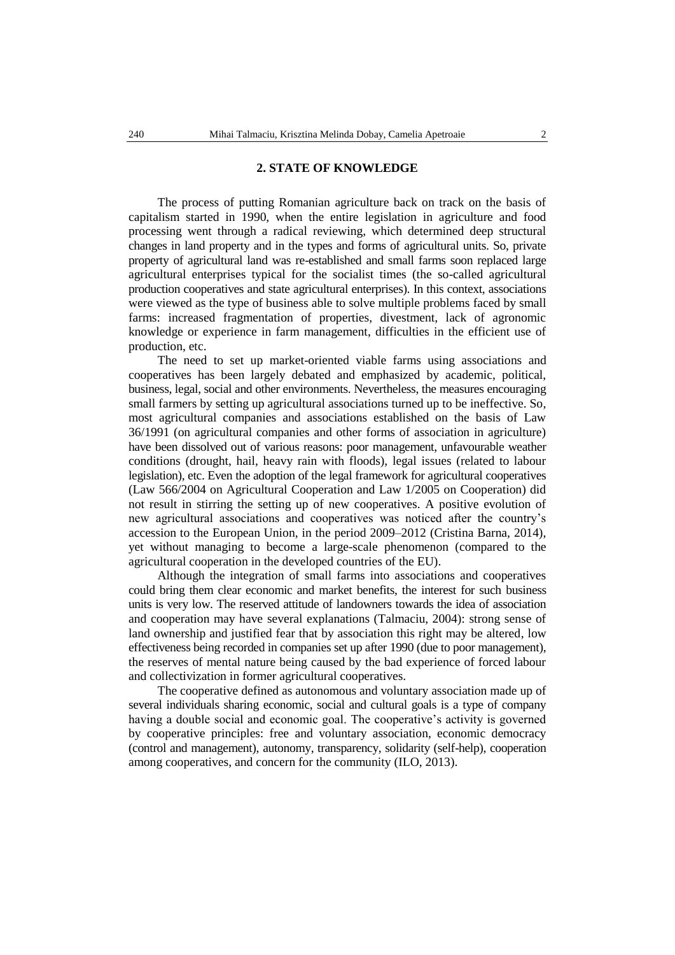## **2. STATE OF KNOWLEDGE**

The process of putting Romanian agriculture back on track on the basis of capitalism started in 1990, when the entire legislation in agriculture and food processing went through a radical reviewing, which determined deep structural changes in land property and in the types and forms of agricultural units. So, private property of agricultural land was re-established and small farms soon replaced large agricultural enterprises typical for the socialist times (the so-called agricultural production cooperatives and state agricultural enterprises). In this context, associations were viewed as the type of business able to solve multiple problems faced by small farms: increased fragmentation of properties, divestment, lack of agronomic knowledge or experience in farm management, difficulties in the efficient use of production, etc.

The need to set up market-oriented viable farms using associations and cooperatives has been largely debated and emphasized by academic, political, business, legal, social and other environments. Nevertheless, the measures encouraging small farmers by setting up agricultural associations turned up to be ineffective. So, most agricultural companies and associations established on the basis of Law 36/1991 (on agricultural companies and other forms of association in agriculture) have been dissolved out of various reasons: poor management, unfavourable weather conditions (drought, hail, heavy rain with floods), legal issues (related to labour legislation), etc. Even the adoption of the legal framework for agricultural cooperatives (Law 566/2004 on Agricultural Cooperation and Law 1/2005 on Cooperation) did not result in stirring the setting up of new cooperatives. A positive evolution of new agricultural associations and cooperatives was noticed after the country's accession to the European Union, in the period 2009–2012 (Cristina Barna, 2014), yet without managing to become a large-scale phenomenon (compared to the agricultural cooperation in the developed countries of the EU).

Although the integration of small farms into associations and cooperatives could bring them clear economic and market benefits, the interest for such business units is very low. The reserved attitude of landowners towards the idea of association and cooperation may have several explanations (Talmaciu, 2004): strong sense of land ownership and justified fear that by association this right may be altered, low effectiveness being recorded in companies set up after 1990 (due to poor management), the reserves of mental nature being caused by the bad experience of forced labour and collectivization in former agricultural cooperatives.

The cooperative defined as autonomous and voluntary association made up of several individuals sharing economic, social and cultural goals is a type of company having a double social and economic goal. The cooperative's activity is governed by cooperative principles: free and voluntary association, economic democracy (control and management), autonomy, transparency, solidarity (self-help), cooperation among cooperatives, and concern for the community (ILO, 2013).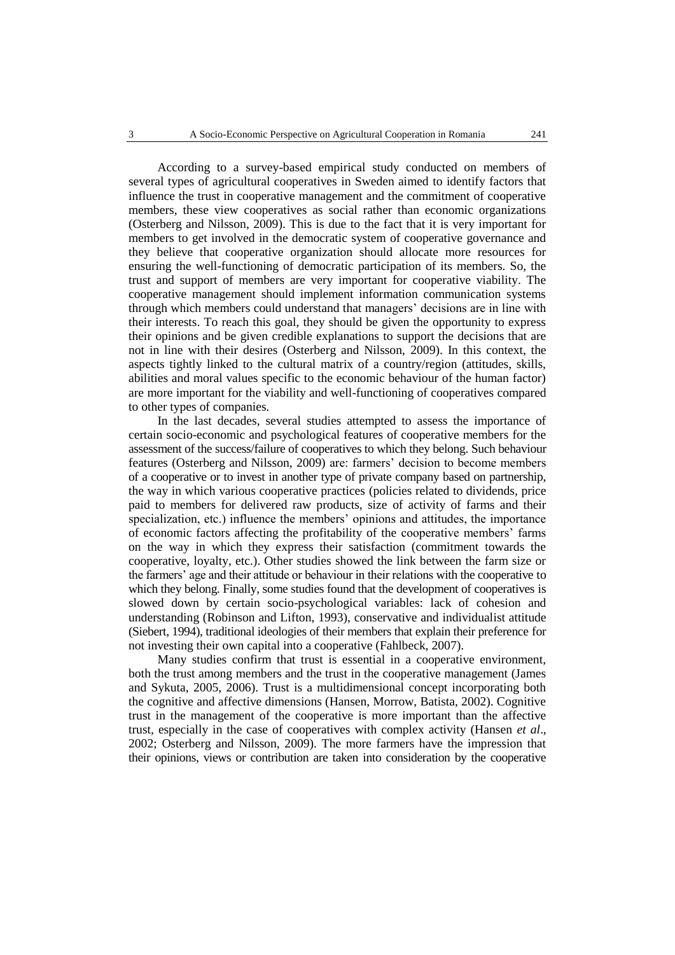According to a survey-based empirical study conducted on members of several types of agricultural cooperatives in Sweden aimed to identify factors that influence the trust in cooperative management and the commitment of cooperative members, these view cooperatives as social rather than economic organizations (Osterberg and Nilsson, 2009). This is due to the fact that it is very important for members to get involved in the democratic system of cooperative governance and they believe that cooperative organization should allocate more resources for ensuring the well-functioning of democratic participation of its members. So, the trust and support of members are very important for cooperative viability. The cooperative management should implement information communication systems through which members could understand that managers' decisions are in line with their interests. To reach this goal, they should be given the opportunity to express their opinions and be given credible explanations to support the decisions that are not in line with their desires (Osterberg and Nilsson, 2009). In this context, the aspects tightly linked to the cultural matrix of a country/region (attitudes, skills, abilities and moral values specific to the economic behaviour of the human factor) are more important for the viability and well-functioning of cooperatives compared to other types of companies.

In the last decades, several studies attempted to assess the importance of certain socio-economic and psychological features of cooperative members for the assessment of the success/failure of cooperatives to which they belong. Such behaviour features (Osterberg and Nilsson, 2009) are: farmers' decision to become members of a cooperative or to invest in another type of private company based on partnership, the way in which various cooperative practices (policies related to dividends, price paid to members for delivered raw products, size of activity of farms and their specialization, etc.) influence the members' opinions and attitudes, the importance of economic factors affecting the profitability of the cooperative members' farms on the way in which they express their satisfaction (commitment towards the cooperative, loyalty, etc.). Other studies showed the link between the farm size or the farmers' age and their attitude or behaviour in their relations with the cooperative to which they belong. Finally, some studies found that the development of cooperatives is slowed down by certain socio-psychological variables: lack of cohesion and understanding (Robinson and Lifton, 1993), conservative and individualist attitude (Siebert, 1994), traditional ideologies of their members that explain their preference for not investing their own capital into a cooperative (Fahlbeck, 2007).

Many studies confirm that trust is essential in a cooperative environment, both the trust among members and the trust in the cooperative management (James and Sykuta, 2005, 2006). Trust is a multidimensional concept incorporating both the cognitive and affective dimensions (Hansen, Morrow, Batista, 2002). Cognitive trust in the management of the cooperative is more important than the affective trust, especially in the case of cooperatives with complex activity (Hansen *et al*., 2002; Osterberg and Nilsson, 2009). The more farmers have the impression that their opinions, views or contribution are taken into consideration by the cooperative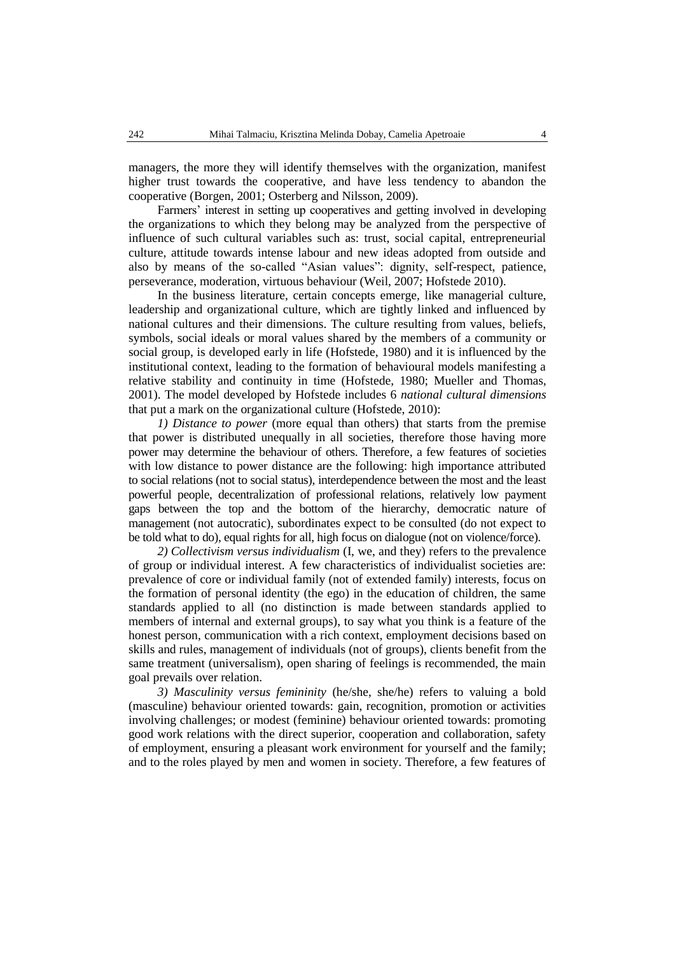managers, the more they will identify themselves with the organization, manifest higher trust towards the cooperative, and have less tendency to abandon the cooperative (Borgen, 2001; Osterberg and Nilsson, 2009).

Farmers' interest in setting up cooperatives and getting involved in developing the organizations to which they belong may be analyzed from the perspective of influence of such cultural variables such as: trust, social capital, entrepreneurial culture, attitude towards intense labour and new ideas adopted from outside and also by means of the so-called "Asian values": dignity, self-respect, patience, perseverance, moderation, virtuous behaviour (Weil, 2007; Hofstede 2010).

In the business literature, certain concepts emerge, like managerial culture, leadership and organizational culture, which are tightly linked and influenced by national cultures and their dimensions. The culture resulting from values, beliefs, symbols, social ideals or moral values shared by the members of a community or social group, is developed early in life (Hofstede, 1980) and it is influenced by the institutional context, leading to the formation of behavioural models manifesting a relative stability and continuity in time (Hofstede, 1980; Mueller and Thomas, 2001). The model developed by Hofstede includes 6 *national cultural dimensions* that put a mark on the organizational culture (Hofstede, 2010):

*1) Distance to power* (more equal than others) that starts from the premise that power is distributed unequally in all societies, therefore those having more power may determine the behaviour of others. Therefore, a few features of societies with low distance to power distance are the following: high importance attributed to social relations (not to social status), interdependence between the most and the least powerful people, decentralization of professional relations, relatively low payment gaps between the top and the bottom of the hierarchy, democratic nature of management (not autocratic), subordinates expect to be consulted (do not expect to be told what to do), equal rights for all, high focus on dialogue (not on violence/force).

*2) Collectivism versus individualism* (I, we, and they) refers to the prevalence of group or individual interest. A few characteristics of individualist societies are: prevalence of core or individual family (not of extended family) interests, focus on the formation of personal identity (the ego) in the education of children, the same standards applied to all (no distinction is made between standards applied to members of internal and external groups), to say what you think is a feature of the honest person, communication with a rich context, employment decisions based on skills and rules, management of individuals (not of groups), clients benefit from the same treatment (universalism), open sharing of feelings is recommended, the main goal prevails over relation.

*3) Masculinity versus femininity* (he/she, she/he) refers to valuing a bold (masculine) behaviour oriented towards: gain, recognition, promotion or activities involving challenges; or modest (feminine) behaviour oriented towards: promoting good work relations with the direct superior, cooperation and collaboration, safety of employment, ensuring a pleasant work environment for yourself and the family; and to the roles played by men and women in society. Therefore, a few features of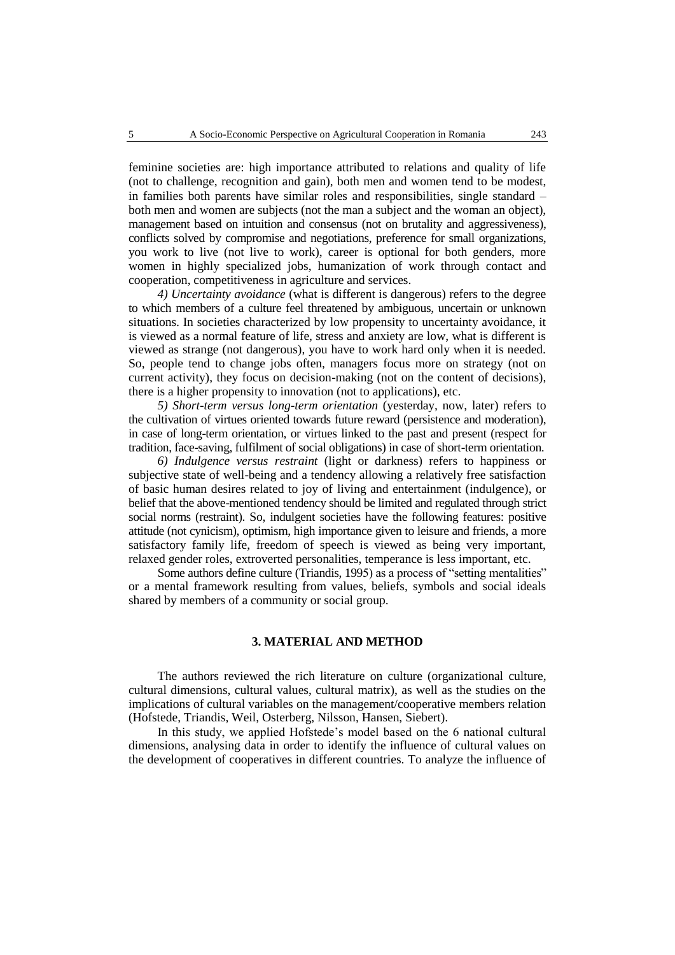feminine societies are: high importance attributed to relations and quality of life (not to challenge, recognition and gain), both men and women tend to be modest, in families both parents have similar roles and responsibilities, single standard – both men and women are subjects (not the man a subject and the woman an object), management based on intuition and consensus (not on brutality and aggressiveness), conflicts solved by compromise and negotiations, preference for small organizations, you work to live (not live to work), career is optional for both genders, more women in highly specialized jobs, humanization of work through contact and cooperation, competitiveness in agriculture and services.

*4) Uncertainty avoidance* (what is different is dangerous) refers to the degree to which members of a culture feel threatened by ambiguous, uncertain or unknown situations. In societies characterized by low propensity to uncertainty avoidance, it is viewed as a normal feature of life, stress and anxiety are low, what is different is viewed as strange (not dangerous), you have to work hard only when it is needed. So, people tend to change jobs often, managers focus more on strategy (not on current activity), they focus on decision-making (not on the content of decisions), there is a higher propensity to innovation (not to applications), etc.

*5) Short-term versus long-term orientation* (yesterday, now, later) refers to the cultivation of virtues oriented towards future reward (persistence and moderation), in case of long-term orientation, or virtues linked to the past and present (respect for tradition, face-saving, fulfilment of social obligations) in case of short-term orientation.

*6) Indulgence versus restraint* (light or darkness) refers to happiness or subjective state of well-being and a tendency allowing a relatively free satisfaction of basic human desires related to joy of living and entertainment (indulgence), or belief that the above-mentioned tendency should be limited and regulated through strict social norms (restraint). So, indulgent societies have the following features: positive attitude (not cynicism), optimism, high importance given to leisure and friends, a more satisfactory family life, freedom of speech is viewed as being very important, relaxed gender roles, extroverted personalities, temperance is less important, etc.

Some authors define culture (Triandis, 1995) as a process of "setting mentalities" or a mental framework resulting from values, beliefs, symbols and social ideals shared by members of a community or social group.

## **3. MATERIAL AND METHOD**

The authors reviewed the rich literature on culture (organizational culture, cultural dimensions, cultural values, cultural matrix), as well as the studies on the implications of cultural variables on the management/cooperative members relation (Hofstede, Triandis, Weil, Osterberg, Nilsson, Hansen, Siebert).

In this study, we applied Hofstede's model based on the 6 national cultural dimensions, analysing data in order to identify the influence of cultural values on the development of cooperatives in different countries. To analyze the influence of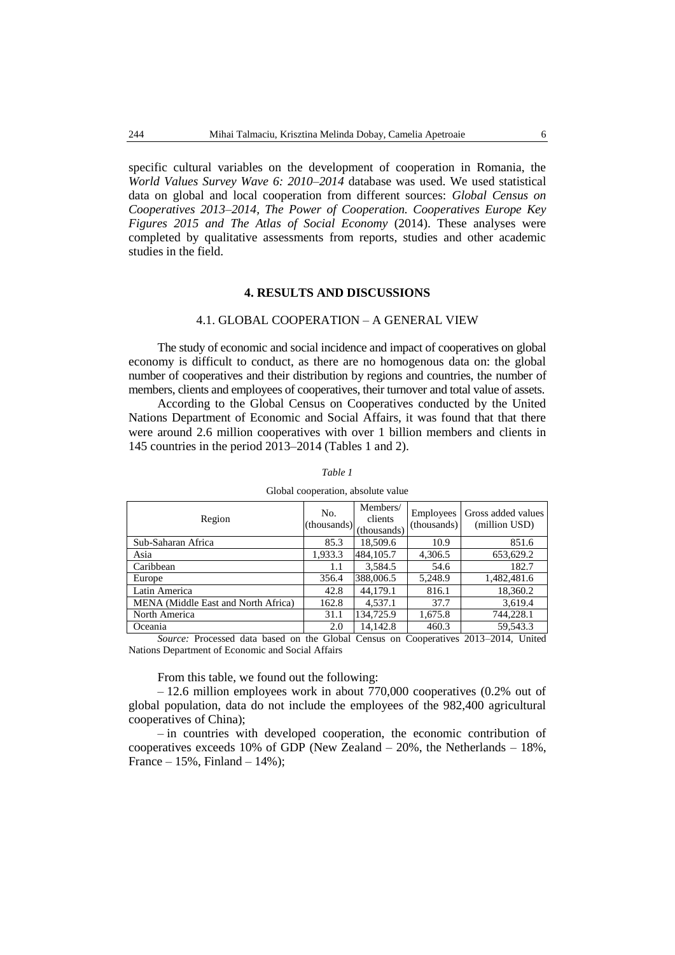specific cultural variables on the development of cooperation in Romania, the *World Values Survey Wave 6: 2010–2014* database was used. We used statistical data on global and local cooperation from different sources: *Global Census on Cooperatives 2013–2014, The Power of Cooperation. Cooperatives Europe Key Figures 2015 and The Atlas of Social Economy* (2014). These analyses were completed by qualitative assessments from reports, studies and other academic studies in the field.

### **4. RESULTS AND DISCUSSIONS**

## 4.1. GLOBAL COOPERATION – A GENERAL VIEW

The study of economic and social incidence and impact of cooperatives on global economy is difficult to conduct, as there are no homogenous data on: the global number of cooperatives and their distribution by regions and countries, the number of members, clients and employees of cooperatives, their turnover and total value of assets.

According to the Global Census on Cooperatives conducted by the United Nations Department of Economic and Social Affairs, it was found that that there were around 2.6 million cooperatives with over 1 billion members and clients in 145 countries in the period 2013–2014 (Tables 1 and 2).

| Region                                                                      | No.<br>(thousands) | Members/<br>clients<br>(thousands) | Employees<br>(thousands) | Gross added values<br>(million USD) |
|-----------------------------------------------------------------------------|--------------------|------------------------------------|--------------------------|-------------------------------------|
| Sub-Saharan Africa                                                          | 85.3               | 18,509.6                           | 10.9                     | 851.6                               |
| Asia                                                                        | 1,933.3            | 484,105.7                          | 4,306.5                  | 653,629.2                           |
| Caribbean                                                                   | 1.1                | 3,584.5                            | 54.6                     | 182.7                               |
| Europe                                                                      | 356.4              | 388,006.5                          | 5,248.9                  | 1,482,481.6                         |
| Latin America                                                               | 42.8               | 44,179.1                           | 816.1                    | 18,360.2                            |
| MENA (Middle East and North Africa)                                         | 162.8              | 4.537.1                            | 37.7                     | 3.619.4                             |
| North America                                                               | 31.1               | 134,725.9                          | 1,675.8                  | 744,228.1                           |
| Oceania                                                                     | 2.0                | 14,142.8                           | 460.3                    | 59,543.3                            |
| Source: Processed data based on the Global Census on Cooperatives 2013-2014 |                    |                                    |                          | <b>I</b> Inited                     |

*Table 1* 

Global cooperation, absolute value

on the Global Census on Cooperatives 2013–2014, United Nations Department of Economic and Social Affairs

### From this table, we found out the following:

– 12.6 million employees work in about 770,000 cooperatives (0.2% out of global population, data do not include the employees of the 982,400 agricultural cooperatives of China);

– in countries with developed cooperation, the economic contribution of cooperatives exceeds 10% of GDP (New Zealand  $-20%$ , the Netherlands  $-18%$ , France –  $15%$ , Finland –  $14%$ );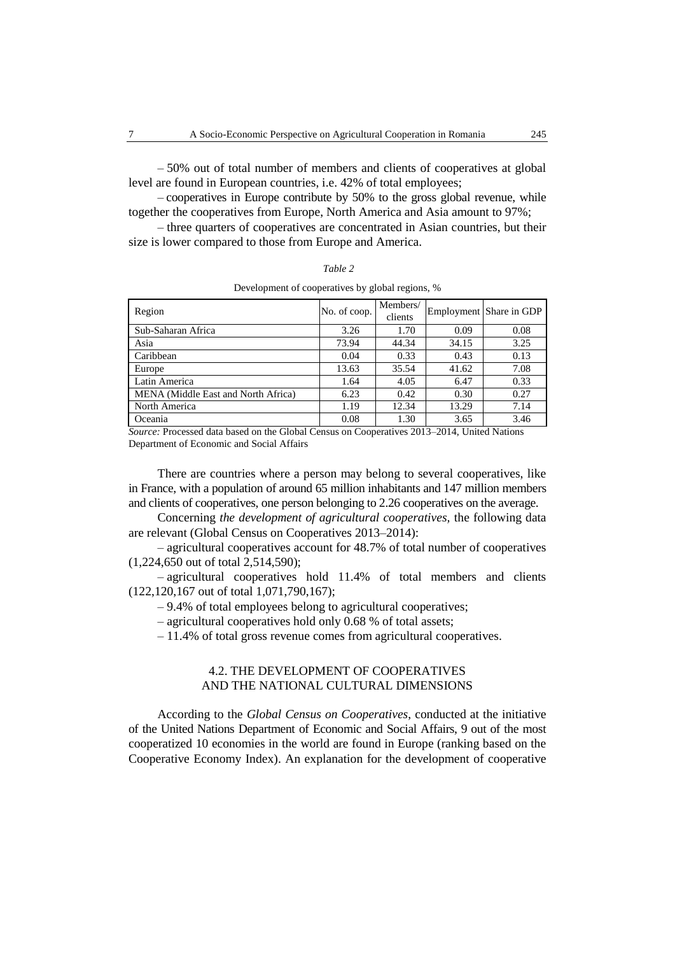– 50% out of total number of members and clients of cooperatives at global level are found in European countries, i.e. 42% of total employees;

– cooperatives in Europe contribute by 50% to the gross global revenue, while together the cooperatives from Europe, North America and Asia amount to 97%;

– three quarters of cooperatives are concentrated in Asian countries, but their size is lower compared to those from Europe and America.

| `able |
|-------|
|-------|

| Region                              | No. of coop. | Members/<br>clients |       | Employment Share in GDP |
|-------------------------------------|--------------|---------------------|-------|-------------------------|
| Sub-Saharan Africa                  | 3.26         | 1.70                | 0.09  | 0.08                    |
| Asia                                | 73.94        | 44.34               | 34.15 | 3.25                    |
| Caribbean                           | 0.04         | 0.33                | 0.43  | 0.13                    |
| Europe                              | 13.63        | 35.54               | 41.62 | 7.08                    |
| Latin America                       | 1.64         | 4.05                | 6.47  | 0.33                    |
| MENA (Middle East and North Africa) | 6.23         | 0.42                | 0.30  | 0.27                    |
| North America                       | 1.19         | 12.34               | 13.29 | 7.14                    |
| Oceania                             | 0.08         | 1.30                | 3.65  | 3.46                    |

Development of cooperatives by global regions, %

*Source:* Processed data based on the Global Census on Cooperatives 2013–2014, United Nations Department of Economic and Social Affairs

There are countries where a person may belong to several cooperatives, like in France, with a population of around 65 million inhabitants and 147 million members and clients of cooperatives, one person belonging to 2.26 cooperatives on the average.

Concerning *the development of agricultural cooperatives,* the following data are relevant (Global Census on Cooperatives 2013–2014):

– agricultural cooperatives account for 48.7% of total number of cooperatives (1,224,650 out of total 2,514,590);

– agricultural cooperatives hold 11.4% of total members and clients (122,120,167 out of total 1,071,790,167);

– 9.4% of total employees belong to agricultural cooperatives;

– agricultural cooperatives hold only 0.68 % of total assets;

– 11.4% of total gross revenue comes from agricultural cooperatives.

## 4.2. THE DEVELOPMENT OF COOPERATIVES AND THE NATIONAL CULTURAL DIMENSIONS

According to the *Global Census on Cooperatives*, conducted at the initiative of the United Nations Department of Economic and Social Affairs, 9 out of the most cooperatized 10 economies in the world are found in Europe (ranking based on the Cooperative Economy Index). An explanation for the development of cooperative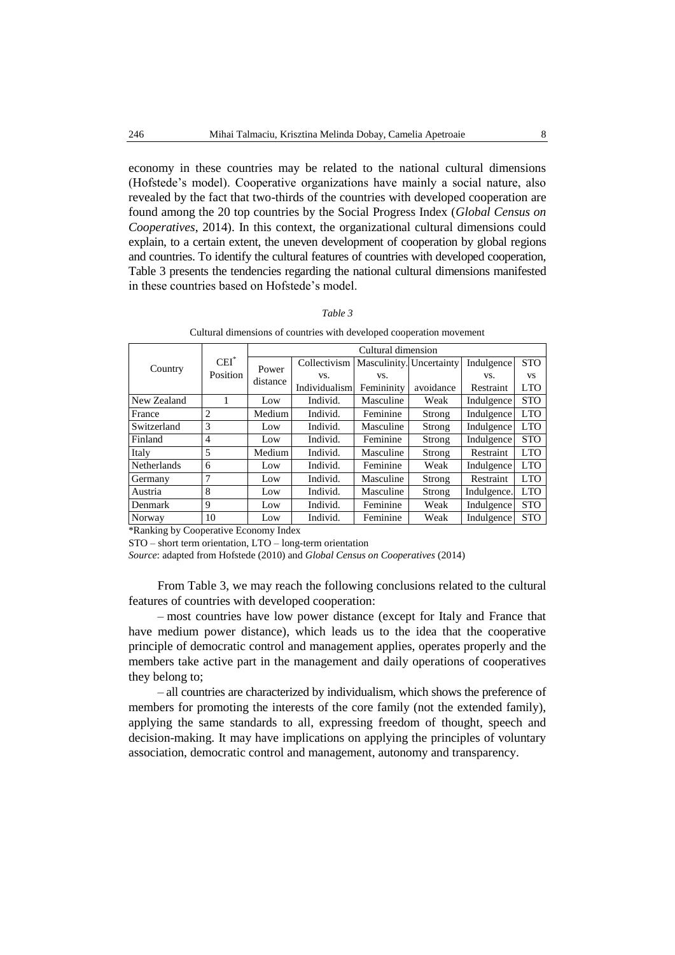economy in these countries may be related to the national cultural dimensions (Hofstede's model). Cooperative organizations have mainly a social nature, also revealed by the fact that two-thirds of the countries with developed cooperation are found among the 20 top countries by the Social Progress Index (*Global Census on Cooperatives*, 2014). In this context, the organizational cultural dimensions could explain, to a certain extent, the uneven development of cooperation by global regions and countries. To identify the cultural features of countries with developed cooperation, Table 3 presents the tendencies regarding the national cultural dimensions manifested in these countries based on Hofstede's model.

| ,,,,<br>ι. |  |
|------------|--|
|------------|--|

Cultural dimensions of countries with developed cooperation movement

|                    |                |          | Cultural dimension |                          |           |             |            |  |
|--------------------|----------------|----------|--------------------|--------------------------|-----------|-------------|------------|--|
| $CEI^*$            |                | Power    | Collectivism       | Masculinity. Uncertainty |           | Indulgence  | <b>STO</b> |  |
| Country            | Position       | distance | VS.                | VS.                      |           | VS.         | VS         |  |
|                    |                |          | Individualism      | Femininity               | avoidance | Restraint   | LTO        |  |
| New Zealand        |                | Low      | Individ.           | Masculine                | Weak      | Indulgence  | <b>STO</b> |  |
| France             | 2              | Medium   | Individ.           | Feminine                 | Strong    | Indulgence  | <b>LTO</b> |  |
| Switzerland        | 3              | Low      | Individ.           | Masculine                | Strong    | Indulgence  | <b>LTO</b> |  |
| Finland            | $\overline{4}$ | Low      | Individ.           | Feminine                 | Strong    | Indulgence  | <b>STO</b> |  |
| Italy              | 5              | Medium   | Individ.           | Masculine                | Strong    | Restraint   | <b>LTO</b> |  |
| <b>Netherlands</b> | 6              | Low      | Individ.           | Feminine                 | Weak      | Indulgence  | <b>LTO</b> |  |
| Germany            | 7              | Low      | Individ.           | Masculine                | Strong    | Restraint   | <b>LTO</b> |  |
| Austria            | 8              | Low      | Individ.           | Masculine                | Strong    | Indulgence. | <b>LTO</b> |  |
| Denmark            | 9              | Low      | Individ.           | Feminine                 | Weak      | Indulgence  | <b>STO</b> |  |
| Norway             | 10             | Low      | Individ.           | Feminine                 | Weak      | Indulgence  | <b>STO</b> |  |

\*Ranking by Cooperative Economy Index

STO – short term orientation, LTO – long-term orientation

*Source*: adapted from Hofstede (2010) and *Global Census on Cooperatives* (2014)

From Table 3, we may reach the following conclusions related to the cultural features of countries with developed cooperation:

– most countries have low power distance (except for Italy and France that have medium power distance), which leads us to the idea that the cooperative principle of democratic control and management applies, operates properly and the members take active part in the management and daily operations of cooperatives they belong to;

– all countries are characterized by individualism, which shows the preference of members for promoting the interests of the core family (not the extended family), applying the same standards to all, expressing freedom of thought, speech and decision-making. It may have implications on applying the principles of voluntary association, democratic control and management, autonomy and transparency.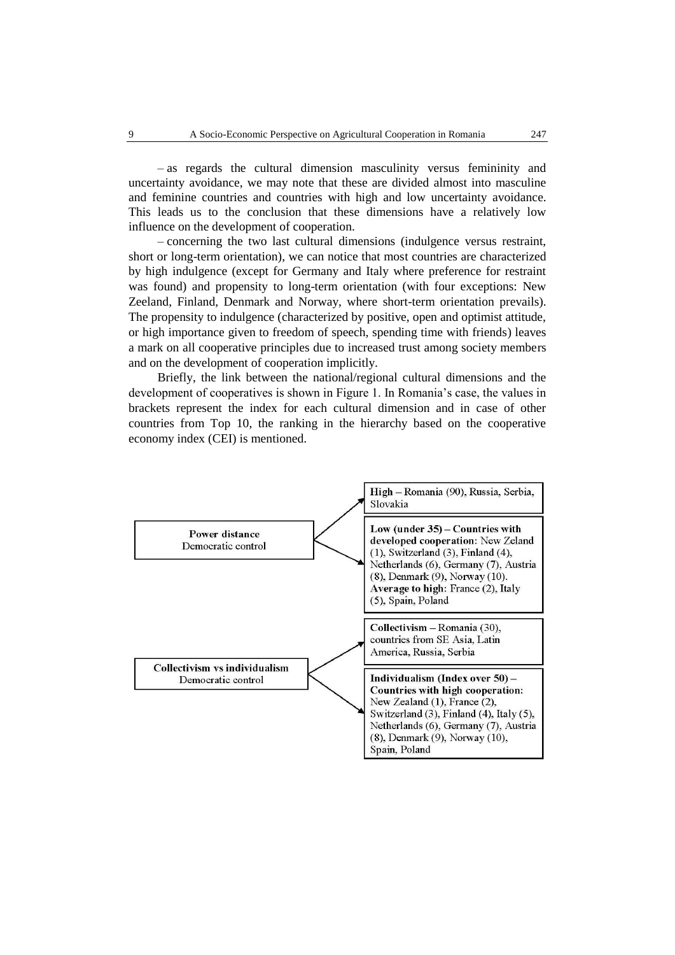– as regards the cultural dimension masculinity versus femininity and uncertainty avoidance, we may note that these are divided almost into masculine and feminine countries and countries with high and low uncertainty avoidance. This leads us to the conclusion that these dimensions have a relatively low influence on the development of cooperation.

– concerning the two last cultural dimensions (indulgence versus restraint, short or long-term orientation), we can notice that most countries are characterized by high indulgence (except for Germany and Italy where preference for restraint was found) and propensity to long-term orientation (with four exceptions: New Zeeland, Finland, Denmark and Norway, where short-term orientation prevails). The propensity to indulgence (characterized by positive, open and optimist attitude, or high importance given to freedom of speech, spending time with friends) leaves a mark on all cooperative principles due to increased trust among society members and on the development of cooperation implicitly.

Briefly, the link between the national/regional cultural dimensions and the development of cooperatives is shown in Figure 1. In Romania's case, the values in brackets represent the index for each cultural dimension and in case of other countries from Top 10, the ranking in the hierarchy based on the cooperative economy index (CEI) is mentioned.

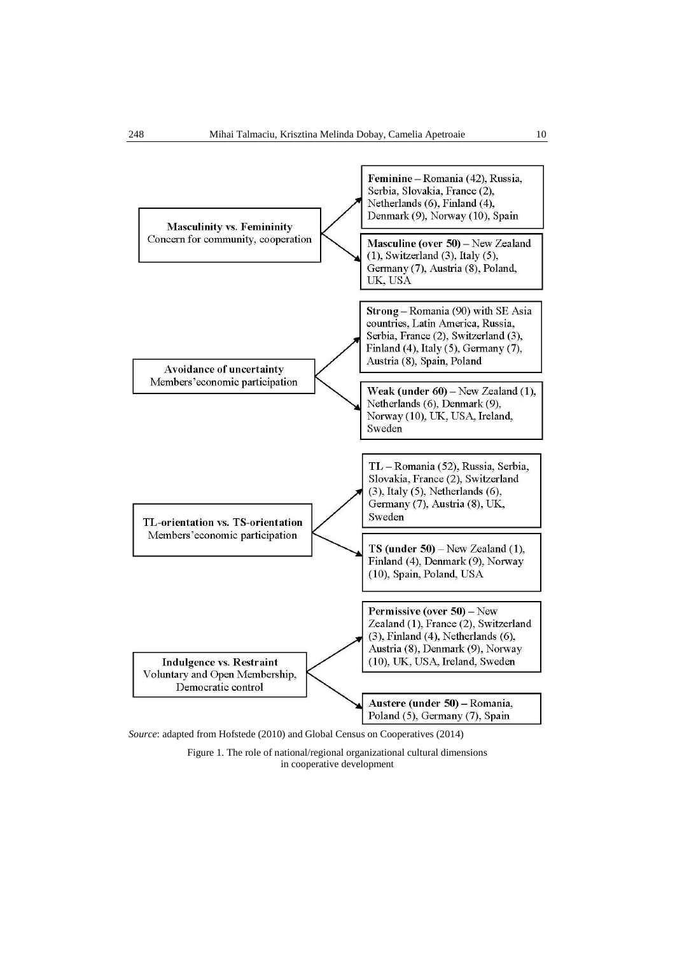

Figure 1. The role of national/regional organizational cultural dimensions in cooperative development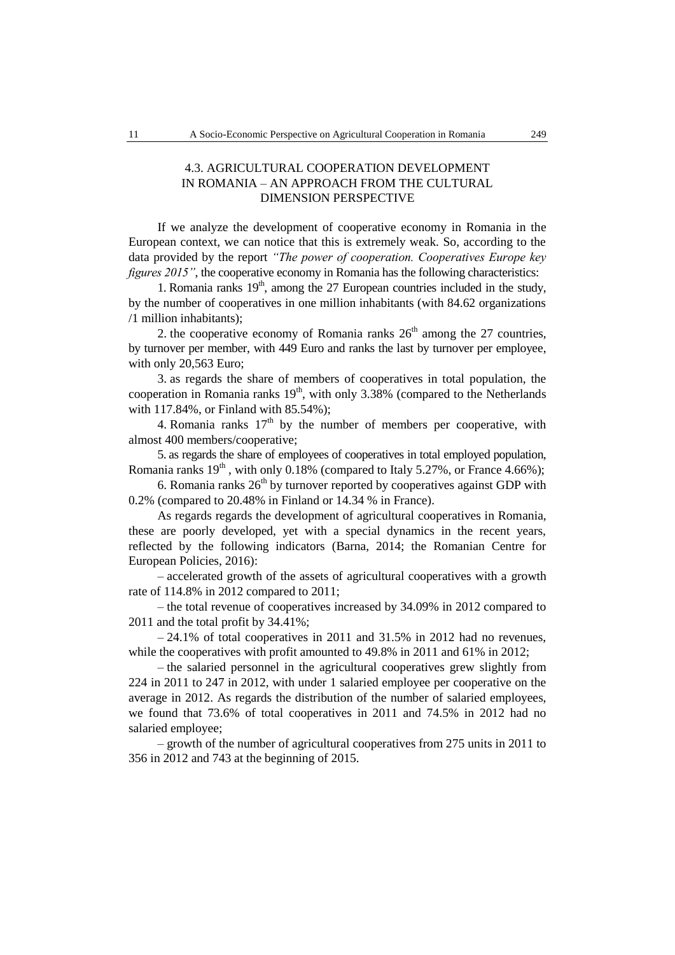## 4.3. AGRICULTURAL COOPERATION DEVELOPMENT IN ROMANIA – AN APPROACH FROM THE CULTURAL DIMENSION PERSPECTIVE

If we analyze the development of cooperative economy in Romania in the European context, we can notice that this is extremely weak. So, according to the data provided by the report *"The power of cooperation. Cooperatives Europe key figures 2015"*, the cooperative economy in Romania has the following characteristics:

1. Romania ranks  $19<sup>th</sup>$ , among the 27 European countries included in the study, by the number of cooperatives in one million inhabitants (with 84.62 organizations /1 million inhabitants);

2. the cooperative economy of Romania ranks  $26<sup>th</sup>$  among the 27 countries, by turnover per member, with 449 Euro and ranks the last by turnover per employee, with only 20,563 Euro;

3. as regards the share of members of cooperatives in total population, the cooperation in Romania ranks  $19<sup>th</sup>$ , with only 3.38% (compared to the Netherlands with 117.84%, or Finland with 85.54%);

4. Romania ranks  $17<sup>th</sup>$  by the number of members per cooperative, with almost 400 members/cooperative;

5. as regards the share of employees of cooperatives in total employed population, Romania ranks  $19<sup>th</sup>$ , with only 0.18% (compared to Italy 5.27%, or France 4.66%);

6. Romania ranks  $26<sup>th</sup>$  by turnover reported by cooperatives against GDP with 0.2% (compared to 20.48% in Finland or 14.34 % in France).

As regards regards the development of agricultural cooperatives in Romania, these are poorly developed, yet with a special dynamics in the recent years, reflected by the following indicators (Barna, 2014; the Romanian Centre for European Policies, 2016):

– accelerated growth of the assets of agricultural cooperatives with a growth rate of 114.8% in 2012 compared to 2011;

– the total revenue of cooperatives increased by 34.09% in 2012 compared to 2011 and the total profit by 34.41%;

 $-24.1\%$  of total cooperatives in 2011 and 31.5% in 2012 had no revenues, while the cooperatives with profit amounted to 49.8% in 2011 and 61% in 2012;

– the salaried personnel in the agricultural cooperatives grew slightly from 224 in 2011 to 247 in 2012, with under 1 salaried employee per cooperative on the average in 2012. As regards the distribution of the number of salaried employees, we found that 73.6% of total cooperatives in 2011 and 74.5% in 2012 had no salaried employee;

– growth of the number of agricultural cooperatives from 275 units in 2011 to 356 in 2012 and 743 at the beginning of 2015.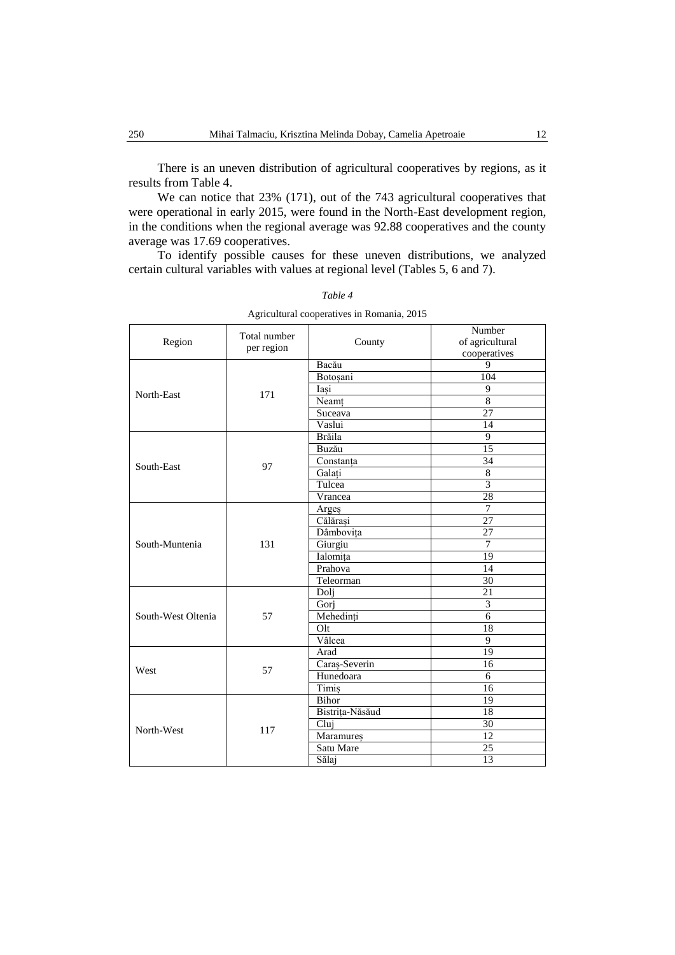There is an uneven distribution of agricultural cooperatives by regions, as it results from Table 4.

We can notice that 23% (171), out of the 743 agricultural cooperatives that were operational in early 2015, were found in the North-East development region, in the conditions when the regional average was 92.88 cooperatives and the county average was 17.69 cooperatives.

To identify possible causes for these uneven distributions, we analyzed certain cultural variables with values at regional level (Tables 5, 6 and 7).

| Region             | Total number<br>per region | County          | Number<br>of agricultural<br>cooperatives |
|--------------------|----------------------------|-----------------|-------------------------------------------|
|                    |                            | Bacău           | 9                                         |
|                    |                            | Botoșani        | 104                                       |
| North-East         | 171                        | Iasi            | 9                                         |
|                    |                            | Neamt           | $\overline{8}$                            |
|                    |                            | Suceava         | 27                                        |
|                    |                            | Vaslui          | 14                                        |
|                    |                            | Brăila          | 9                                         |
|                    |                            | Buzău           | 15                                        |
| South-East         | 97                         | Constanta       | 34                                        |
|                    |                            | Galați          | $\overline{8}$                            |
|                    |                            | Tulcea          | $\overline{3}$                            |
|                    |                            | Vrancea         | 28                                        |
|                    | 131                        | Arges           | 7                                         |
|                    |                            | Călărași        | $\overline{27}$                           |
|                    |                            | Dâmbovița       | 27                                        |
| South-Muntenia     |                            | Giurgiu         | 7                                         |
|                    |                            | Ialomița        | 19                                        |
|                    |                            | Prahova         | 14                                        |
|                    |                            | Teleorman       | 30                                        |
|                    |                            | Doli            | $\overline{21}$                           |
|                    | 57                         | Gorj            | $\overline{\mathbf{3}}$                   |
| South-West Oltenia |                            | Mehedinți       | 6                                         |
|                    |                            | Olt             | 18                                        |
|                    |                            | Vâlcea          | 9                                         |
|                    |                            | Arad            | 19                                        |
| West               | 57                         | Caraș-Severin   | 16                                        |
|                    |                            | Hunedoara       | 6                                         |
|                    |                            | Timiş           | 16                                        |
|                    |                            | Bihor           | 19                                        |
|                    |                            | Bistrița-Năsăud | 18                                        |
|                    |                            | Cluj            | 30                                        |
| North-West         | 117                        | Maramureș       | 12                                        |
|                    |                            | Satu Mare       | 25                                        |
|                    |                            | Sălaj           | 13                                        |

*Table 4* Agricultural cooperatives in Romania, 2015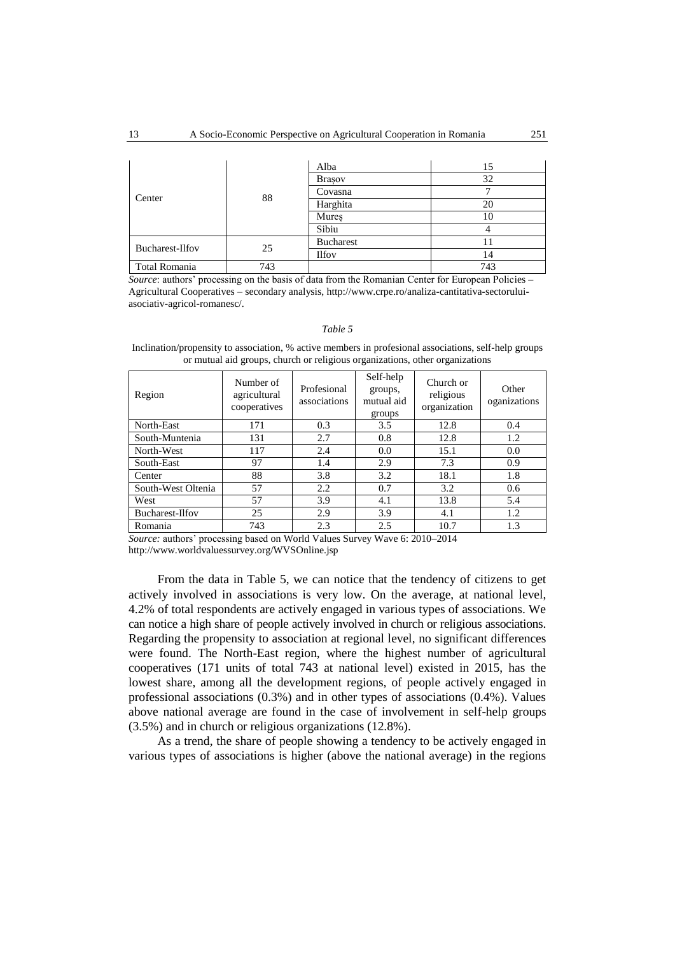|                 | 88  | Alba             | 15  |
|-----------------|-----|------------------|-----|
|                 |     | <b>Brasov</b>    | 32  |
| Center          |     | Covasna          |     |
|                 |     | Harghita         | 20  |
|                 |     | Mures            | 10  |
|                 |     | Sibiu            |     |
| Bucharest-Ilfov | 25  | <b>Bucharest</b> | 11  |
|                 |     | <b>Ilfov</b>     | 14  |
| Total Romania   | 743 |                  | 743 |

*Source*: authors' processing on the basis of data from the Romanian Center for European Policies – Agricultural Cooperatives – secondary analysis, http://www.crpe.ro/analiza-cantitativa-sectoruluiasociativ-agricol-romanesc/.

### *Table 5*

Inclination/propensity to association, % active members in profesional associations, self-help groups or mutual aid groups, church or religious organizations, other organizations

| Region             | Number of<br>agricultural<br>cooperatives | Profesional<br>associations | Self-help<br>groups,<br>mutual aid<br>groups | Church or<br>religious<br>organization | Other<br>oganizations |
|--------------------|-------------------------------------------|-----------------------------|----------------------------------------------|----------------------------------------|-----------------------|
| North-East         | 171                                       | 0.3                         | 3.5                                          | 12.8                                   | 0.4                   |
| South-Muntenia     | 131                                       | 2.7                         | 0.8                                          | 12.8                                   | 1.2                   |
| North-West         | 117                                       | 2.4                         | 0.0                                          | 15.1                                   | 0.0                   |
| South-East         | 97                                        | 1.4                         | 2.9                                          | 7.3                                    | 0.9                   |
| Center             | 88                                        | 3.8                         | 3.2                                          | 18.1                                   | 1.8                   |
| South-West Oltenia | 57                                        | 2.2                         | 0.7                                          | 3.2                                    | 0.6                   |
| West               | 57                                        | 3.9                         | 4.1                                          | 13.8                                   | 5.4                   |
| Bucharest-Ilfov    | 25                                        | 2.9                         | 3.9                                          | 4.1                                    | 1.2                   |
| Romania            | 743                                       | 2.3                         | 2.5                                          | 10.7                                   | 1.3                   |

*Source:* authors' processing based on World Values Survey Wave 6: 2010–2014 http://www.worldvaluessurvey.org/WVSOnline.jsp

From the data in Table 5, we can notice that the tendency of citizens to get actively involved in associations is very low. On the average, at national level, 4.2% of total respondents are actively engaged in various types of associations. We can notice a high share of people actively involved in church or religious associations. Regarding the propensity to association at regional level, no significant differences were found. The North-East region, where the highest number of agricultural cooperatives (171 units of total 743 at national level) existed in 2015, has the lowest share, among all the development regions, of people actively engaged in professional associations (0.3%) and in other types of associations (0.4%). Values above national average are found in the case of involvement in self-help groups (3.5%) and in church or religious organizations (12.8%).

As a trend, the share of people showing a tendency to be actively engaged in various types of associations is higher (above the national average) in the regions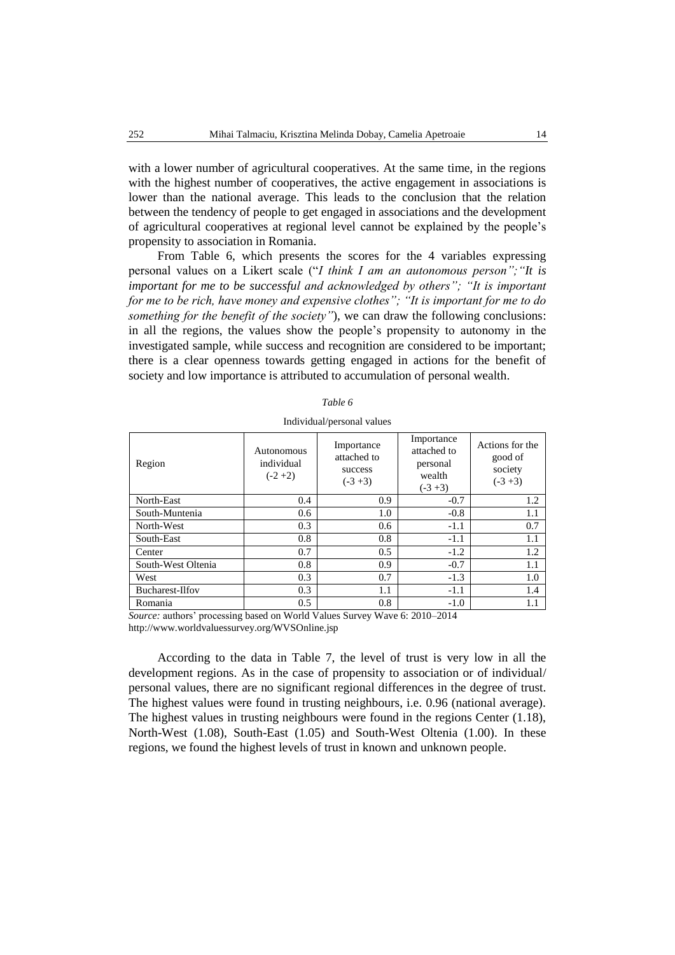with a lower number of agricultural cooperatives. At the same time, in the regions with the highest number of cooperatives, the active engagement in associations is lower than the national average. This leads to the conclusion that the relation between the tendency of people to get engaged in associations and the development of agricultural cooperatives at regional level cannot be explained by the people's propensity to association in Romania.

From Table 6, which presents the scores for the 4 variables expressing personal values on a Likert scale ("*I think I am an autonomous person";"It is important for me to be successful and acknowledged by others"; "It is important for me to be rich, have money and expensive clothes"; "It is important for me to do something for the benefit of the society"*), we can draw the following conclusions: in all the regions, the values show the people's propensity to autonomy in the investigated sample, while success and recognition are considered to be important; there is a clear openness towards getting engaged in actions for the benefit of society and low importance is attributed to accumulation of personal wealth.

| Fable |  |
|-------|--|
|-------|--|

Region Autonomous individual  $(-2 + 2)$ Importance attached to success  $(-3 + 3)$ Importance attached to personal wealth  $(-3 +3)$ Actions for the good of society  $(-3 +3)$ North-East 1.2 South-Muntenia 1.0 0.6 1.0 -0.8 1.1 North-West 0.3 0.6 -1.1 0.7 South-East 0.8 0.8 -1.1 1.1 1.1 Center  $0.7$   $0.5$   $-1.2$   $1.2$ South-West Oltenia 0.8 0.9 -0.7 1.1<br>West 0.3 0.7 -1.3 1.0 West  $0.3$   $0.7$   $-1.3$   $1.0$ Bucharest-Ilfov 0.3 1.1 -1.1 1.4 Romania (1.1 0.5 0.8 -1.0 1.1

*Source:* authors' processing based on World Values Survey Wave 6: 2010–2014 http://www.worldvaluessurvey.org/WVSOnline.jsp

According to the data in Table 7, the level of trust is very low in all the development regions. As in the case of propensity to association or of individual/ personal values, there are no significant regional differences in the degree of trust. The highest values were found in trusting neighbours, i.e. 0.96 (national average). The highest values in trusting neighbours were found in the regions Center (1.18), North-West (1.08), South-East (1.05) and South-West Oltenia (1.00). In these regions, we found the highest levels of trust in known and unknown people.

Individual/personal values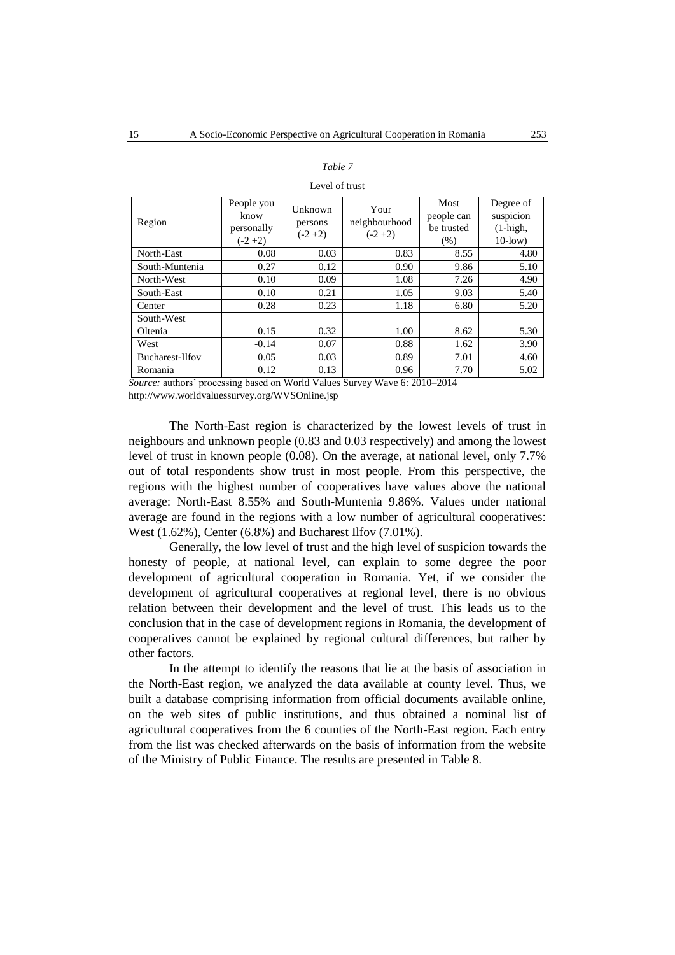#### *Table 7*

#### Level of trust

| Region               | People you<br>know<br>personally<br>$(-2+2)$ | Unknown<br>persons<br>$(-2+2)$ | Your<br>neighbourhood<br>$(-2+2)$ | Most<br>people can<br>be trusted<br>(% ) | Degree of<br>suspicion<br>$(1 - high,$<br>$10$ -low) |
|----------------------|----------------------------------------------|--------------------------------|-----------------------------------|------------------------------------------|------------------------------------------------------|
| North-East           | 0.08                                         | 0.03                           | 0.83                              | 8.55                                     | 4.80                                                 |
| South-Muntenia       | 0.27                                         | 0.12                           | 0.90                              | 9.86                                     | 5.10                                                 |
| North-West           | 0.10                                         | 0.09                           | 1.08                              | 7.26                                     | 4.90                                                 |
| South-East           | 0.10                                         | 0.21                           | 1.05                              | 9.03                                     | 5.40                                                 |
| Center               | 0.28                                         | 0.23                           | 1.18                              | 6.80                                     | 5.20                                                 |
| South-West           |                                              |                                |                                   |                                          |                                                      |
| Oltenia              | 0.15                                         | 0.32                           | 1.00                              | 8.62                                     | 5.30                                                 |
| West                 | $-0.14$                                      | 0.07                           | 0.88                              | 1.62                                     | 3.90                                                 |
| Bucharest-Ilfov      | 0.05                                         | 0.03                           | 0.89                              | 7.01                                     | 4.60                                                 |
| Romania<br>$\cdot$ 1 | 0.12<br>$\blacksquare$                       | 0.13<br><b>TTT 11TT1</b>       | 0.96<br>$\sim$<br><b>TTT</b>      | 7.70<br>2.0010.0011                      | 5.02                                                 |

*Source:* authors' processing based on World Values Survey Wave 6: 2010–2014 <http://www.worldvaluessurvey.org/WVSOnline.jsp>

The North-East region is characterized by the lowest levels of trust in neighbours and unknown people (0.83 and 0.03 respectively) and among the lowest level of trust in known people (0.08). On the average, at national level, only 7.7% out of total respondents show trust in most people. From this perspective, the regions with the highest number of cooperatives have values above the national average: North-East 8.55% and South-Muntenia 9.86%. Values under national average are found in the regions with a low number of agricultural cooperatives: West (1.62%), Center (6.8%) and Bucharest Ilfov (7.01%).

Generally, the low level of trust and the high level of suspicion towards the honesty of people, at national level, can explain to some degree the poor development of agricultural cooperation in Romania. Yet, if we consider the development of agricultural cooperatives at regional level, there is no obvious relation between their development and the level of trust. This leads us to the conclusion that in the case of development regions in Romania, the development of cooperatives cannot be explained by regional cultural differences, but rather by other factors.

In the attempt to identify the reasons that lie at the basis of association in the North-East region, we analyzed the data available at county level. Thus, we built a database comprising information from official documents available online, on the web sites of public institutions, and thus obtained a nominal list of agricultural cooperatives from the 6 counties of the North-East region. Each entry from the list was checked afterwards on the basis of information from the website of the Ministry of Public Finance. The results are presented in Table 8.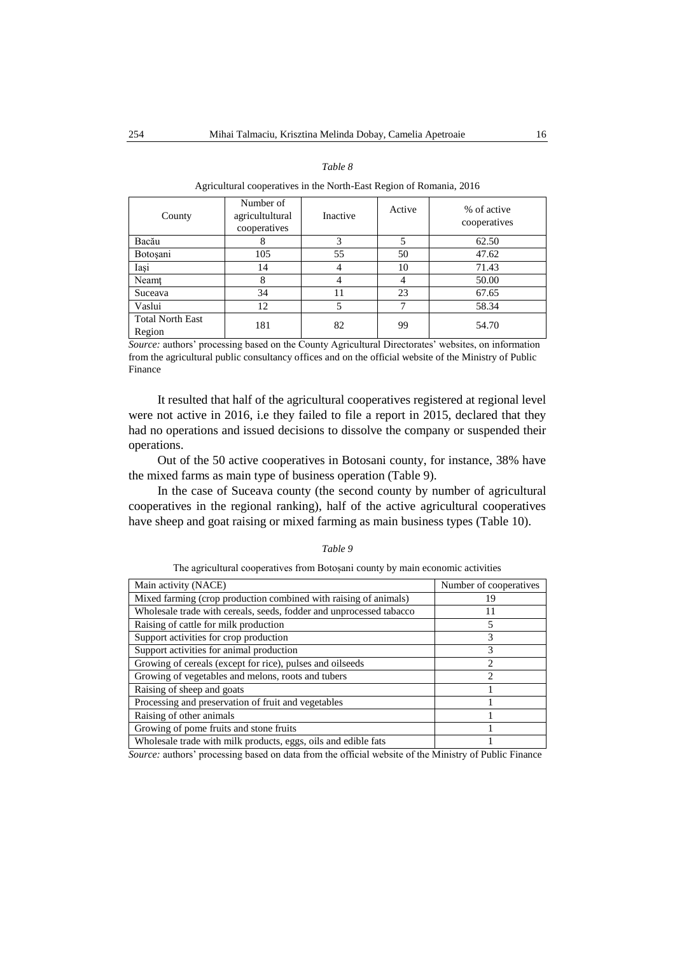### *Table 8*

Agricultural cooperatives in the North-East Region of Romania, 2016

| County                            | Number of<br>agricultultural<br>cooperatives | Inactive | Active | % of active<br>cooperatives |
|-----------------------------------|----------------------------------------------|----------|--------|-----------------------------|
| Bacău                             | 8                                            | 3        |        | 62.50                       |
| Botoşani                          | 105                                          | 55       | 50     | 47.62                       |
| Iași                              | 14                                           |          | 10     | 71.43                       |
| Neamt                             | 8                                            | 4        |        | 50.00                       |
| Suceava                           | 34                                           | 11       | 23     | 67.65                       |
| Vaslui                            | 12                                           |          |        | 58.34                       |
| <b>Total North East</b><br>Region | 181                                          | 82       | 99     | 54.70                       |

*Source:* authors' processing based on the County Agricultural Directorates' websites, on information from the agricultural public consultancy offices and on the official website of the Ministry of Public Finance

It resulted that half of the agricultural cooperatives registered at regional level were not active in 2016, i.e they failed to file a report in 2015, declared that they had no operations and issued decisions to dissolve the company or suspended their operations.

Out of the 50 active cooperatives in Botosani county, for instance, 38% have the mixed farms as main type of business operation (Table 9).

In the case of Suceava county (the second county by number of agricultural cooperatives in the regional ranking), half of the active agricultural cooperatives have sheep and goat raising or mixed farming as main business types (Table 10).

#### *Table 9*

The agricultural cooperatives from Botoșani county by main economic activities

| Main activity (NACE)                                                | Number of cooperatives |
|---------------------------------------------------------------------|------------------------|
| Mixed farming (crop production combined with raising of animals)    | 19                     |
| Wholesale trade with cereals, seeds, fodder and unprocessed tabacco |                        |
| Raising of cattle for milk production                               | 5                      |
| Support activities for crop production                              | 3                      |
| Support activities for animal production                            | 3                      |
| Growing of cereals (except for rice), pulses and oilseeds           | 2                      |
| Growing of vegetables and melons, roots and tubers                  |                        |
| Raising of sheep and goats                                          |                        |
| Processing and preservation of fruit and vegetables                 |                        |
| Raising of other animals                                            |                        |
| Growing of pome fruits and stone fruits                             |                        |
| Wholesale trade with milk products, eggs, oils and edible fats      |                        |

*Source:* authors' processing based on data from the official website of the Ministry of Public Finance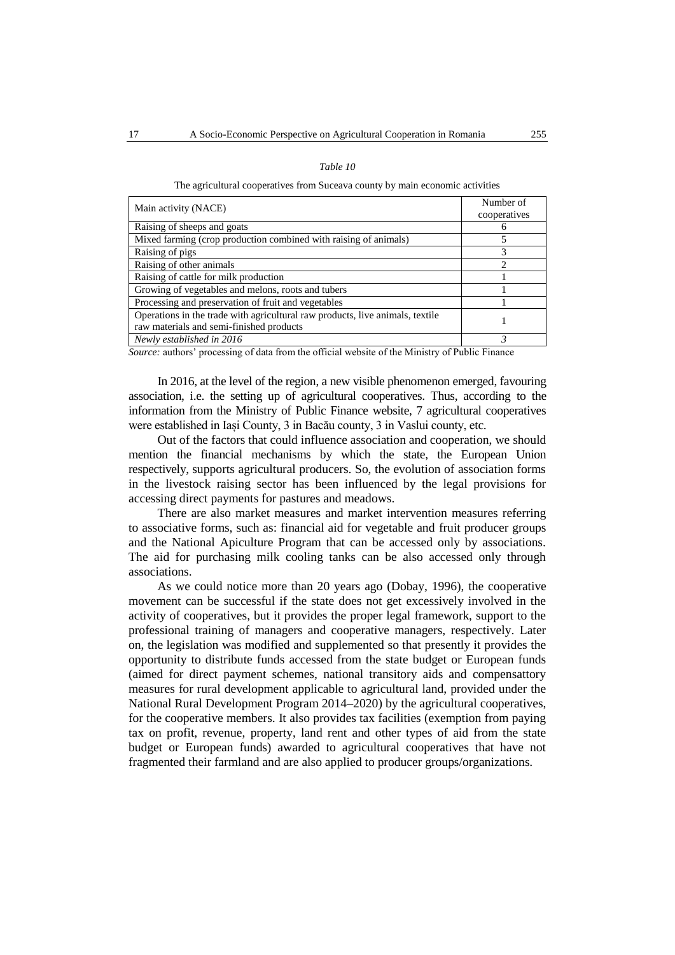| Table 1 |  |
|---------|--|
|---------|--|

The agricultural cooperatives from Suceava county by main economic activities

| Main activity (NACE)                                                          | Number of    |  |
|-------------------------------------------------------------------------------|--------------|--|
|                                                                               | cooperatives |  |
| Raising of sheeps and goats                                                   |              |  |
| Mixed farming (crop production combined with raising of animals)              |              |  |
| Raising of pigs                                                               | 3            |  |
| Raising of other animals                                                      | 2            |  |
| Raising of cattle for milk production                                         |              |  |
| Growing of vegetables and melons, roots and tubers                            |              |  |
| Processing and preservation of fruit and vegetables                           |              |  |
| Operations in the trade with agricultural raw products, live animals, textile |              |  |
| raw materials and semi-finished products                                      |              |  |
| Newly established in 2016                                                     |              |  |

*Source:* authors' processing of data from the official website of the Ministry of Public Finance

In 2016, at the level of the region, a new visible phenomenon emerged, favouring association, i.e. the setting up of agricultural cooperatives. Thus, according to the information from the Ministry of Public Finance website, 7 agricultural cooperatives were established in Iași County, 3 in Bacău county, 3 in Vaslui county, etc.

Out of the factors that could influence association and cooperation, we should mention the financial mechanisms by which the state, the European Union respectively, supports agricultural producers. So, the evolution of association forms in the livestock raising sector has been influenced by the legal provisions for accessing direct payments for pastures and meadows.

There are also market measures and market intervention measures referring to associative forms, such as: financial aid for vegetable and fruit producer groups and the National Apiculture Program that can be accessed only by associations. The aid for purchasing milk cooling tanks can be also accessed only through associations.

As we could notice more than 20 years ago (Dobay, 1996), the cooperative movement can be successful if the state does not get excessively involved in the activity of cooperatives, but it provides the proper legal framework, support to the professional training of managers and cooperative managers, respectively. Later on, the legislation was modified and supplemented so that presently it provides the opportunity to distribute funds accessed from the state budget or European funds (aimed for direct payment schemes, national transitory aids and compensattory measures for rural development applicable to agricultural land, provided under the National Rural Development Program 2014–2020) by the agricultural cooperatives, for the cooperative members. It also provides tax facilities (exemption from paying tax on profit, revenue, property, land rent and other types of aid from the state budget or European funds) awarded to agricultural cooperatives that have not fragmented their farmland and are also applied to producer groups/organizations.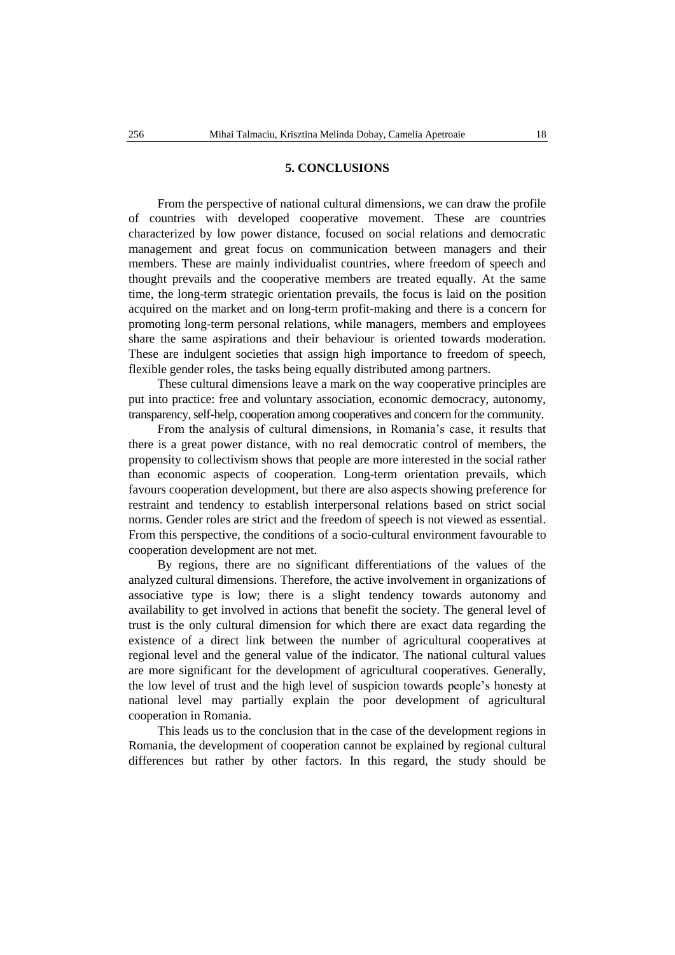### **5. CONCLUSIONS**

From the perspective of national cultural dimensions, we can draw the profile of countries with developed cooperative movement. These are countries characterized by low power distance, focused on social relations and democratic management and great focus on communication between managers and their members. These are mainly individualist countries, where freedom of speech and thought prevails and the cooperative members are treated equally. At the same time, the long-term strategic orientation prevails, the focus is laid on the position acquired on the market and on long-term profit-making and there is a concern for promoting long-term personal relations, while managers, members and employees share the same aspirations and their behaviour is oriented towards moderation. These are indulgent societies that assign high importance to freedom of speech, flexible gender roles, the tasks being equally distributed among partners.

These cultural dimensions leave a mark on the way cooperative principles are put into practice: free and voluntary association, economic democracy, autonomy, transparency, self-help, cooperation among cooperatives and concern for the community.

From the analysis of cultural dimensions, in Romania's case, it results that there is a great power distance, with no real democratic control of members, the propensity to collectivism shows that people are more interested in the social rather than economic aspects of cooperation. Long-term orientation prevails, which favours cooperation development, but there are also aspects showing preference for restraint and tendency to establish interpersonal relations based on strict social norms. Gender roles are strict and the freedom of speech is not viewed as essential. From this perspective, the conditions of a socio-cultural environment favourable to cooperation development are not met.

By regions, there are no significant differentiations of the values of the analyzed cultural dimensions. Therefore, the active involvement in organizations of associative type is low; there is a slight tendency towards autonomy and availability to get involved in actions that benefit the society. The general level of trust is the only cultural dimension for which there are exact data regarding the existence of a direct link between the number of agricultural cooperatives at regional level and the general value of the indicator. The national cultural values are more significant for the development of agricultural cooperatives. Generally, the low level of trust and the high level of suspicion towards people's honesty at national level may partially explain the poor development of agricultural cooperation in Romania.

This leads us to the conclusion that in the case of the development regions in Romania, the development of cooperation cannot be explained by regional cultural differences but rather by other factors. In this regard, the study should be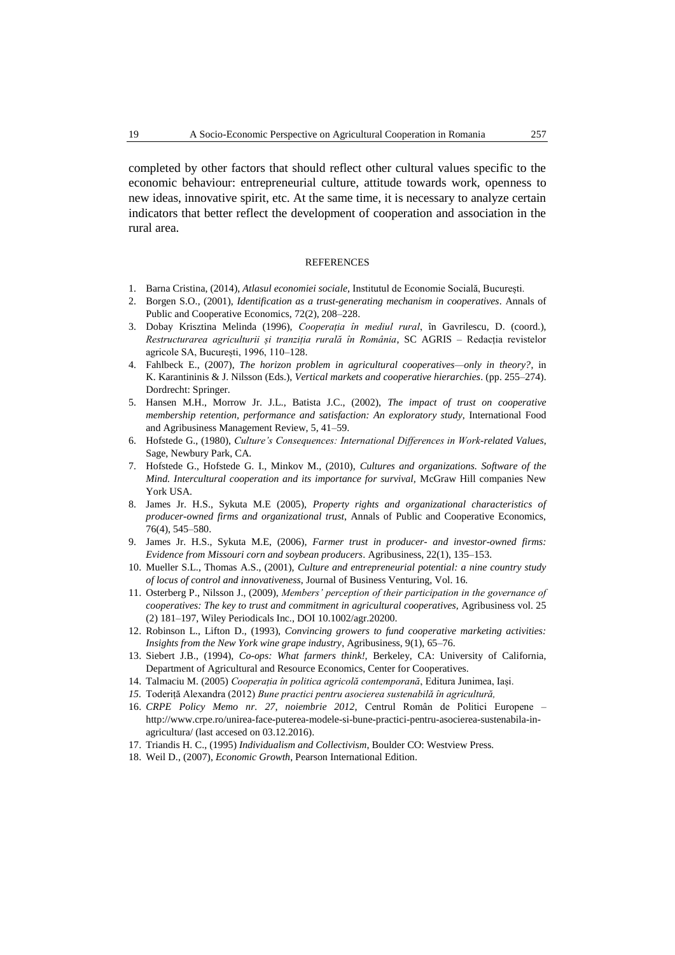completed by other factors that should reflect other cultural values specific to the economic behaviour: entrepreneurial culture, attitude towards work, openness to new ideas, innovative spirit, etc. At the same time, it is necessary to analyze certain indicators that better reflect the development of cooperation and association in the rural area.

#### **REFERENCES**

- 1. Barna Cristina, (2014), *Atlasul economiei sociale,* Institutul de Economie Socială, București.
- 2. Borgen S.O., (2001), *Identification as a trust-generating mechanism in cooperatives*. Annals of Public and Cooperative Economics, 72(2), 208–228.
- 3. Dobay Krisztina Melinda (1996), *Cooperația în mediul rural*, în Gavrilescu, D. (coord.), *Restructurarea agriculturii și tranziția rurală în România*, SC AGRIS – Redacția revistelor agricole SA, București, 1996, 110–128.
- 4. Fahlbeck E., (2007), *The horizon problem in agricultural cooperatives—only in theory?*, in K. Karantininis & J. Nilsson (Eds.), *Vertical markets and cooperative hierarchies*. (pp. 255–274). Dordrecht: Springer.
- 5. Hansen M.H., Morrow Jr. J.L., Batista J.C., (2002), *The impact of trust on cooperative membership retention, performance and satisfaction: An exploratory study*, International Food and Agribusiness Management Review, 5, 41–59.
- 6. Hofstede G., (1980), *Culture's Consequences: International Differences in Work-related Values*, Sage, Newbury Park, CA.
- 7. Hofstede G., Hofstede G. I., Minkov M., (2010), *Cultures and organizations. Software of the Mind. Intercultural cooperation and its importance for survival,* McGraw Hill companies New York USA.
- 8. James Jr. H.S., Sykuta M.E (2005), *Property rights and organizational characteristics of producer-owned firms and organizational trust*, Annals of Public and Cooperative Economics, 76(4), 545–580.
- 9. James Jr. H.S., Sykuta M.E, (2006), *Farmer trust in producer- and investor-owned firms: Evidence from Missouri corn and soybean producers*. Agribusiness, 22(1), 135–153.
- 10. Mueller S.L., Thomas A.S., (2001), *Culture and entrepreneurial potential: a nine country study of locus of control and innovativeness*, Journal of Business Venturing, Vol. 16.
- 11. Osterberg P., Nilsson J., (2009), *Members' perception of their participation in the governance of cooperatives: The key to trust and commitment in agricultural cooperatives, Agribusiness vol. 25* (2) 181–197, Wiley Periodicals Inc., DOI 10.1002/agr.20200.
- 12. Robinson L., Lifton D., (1993), *Convincing growers to fund cooperative marketing activities: Insights from the New York wine grape industry*, Agribusiness, 9(1), 65–76.
- 13. Siebert J.B., (1994), *Co-ops: What farmers think!,* Berkeley, CA: University of California, Department of Agricultural and Resource Economics, Center for Cooperatives.
- 14. Talmaciu M. (2005) *Cooperația în politica agricolă contemporană*, Editura Junimea, Iași.
- *15.* Toderiță Alexandra (2012) *Bune practici pentru asocierea sustenabilă în agricultură,*
- 16. *CRPE Policy Memo nr. 27, noiembrie 2012,* Centrul Român de Politici Europene [http://www.crpe.ro/unirea-face-puterea-modele-si-bune-practici-pentru-asocierea-sustenabila-in](http://www.crpe.ro/unirea-face-puterea-modele-si-bune-practici-pentru-asocierea-sustenabila-in-agricultura/%20%5blast)[agricultura/ \(last](http://www.crpe.ro/unirea-face-puterea-modele-si-bune-practici-pentru-asocierea-sustenabila-in-agricultura/%20%5blast) accesed on 03.12.2016).
- 17. Triandis H. C., (1995) *Individualism and Collectivism*, Boulder CO: Westview Press.
- 18. Weil D., (2007), *Economic Growth*, Pearson International Edition.